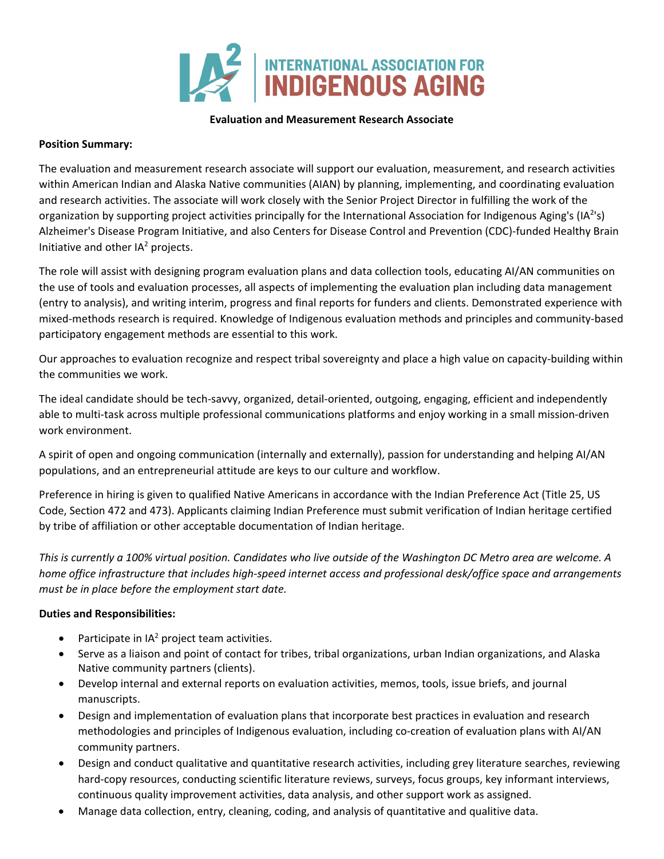

## **Evaluation and Measurement Research Associate**

## **Position Summary:**

The evaluation and measurement research associate will support our evaluation, measurement, and research activities within American Indian and Alaska Native communities (AIAN) by planning, implementing, and coordinating evaluation and research activities. The associate will work closely with the Senior Project Director in fulfilling the work of the organization by supporting project activities principally for the International Association for Indigenous Aging's (IA<sup>2</sup>'s) Alzheimer's Disease Program Initiative, and also Centers for Disease Control and Prevention (CDC)-funded Healthy Brain Initiative and other  $IA<sup>2</sup>$  projects.

The role will assist with designing program evaluation plans and data collection tools, educating AI/AN communities on the use of tools and evaluation processes, all aspects of implementing the evaluation plan including data management (entry to analysis), and writing interim, progress and final reports for funders and clients. Demonstrated experience with mixed-methods research is required. Knowledge of Indigenous evaluation methods and principles and community-based participatory engagement methods are essential to this work.

Our approaches to evaluation recognize and respect tribal sovereignty and place a high value on capacity-building within the communities we work.

The ideal candidate should be tech-savvy, organized, detail-oriented, outgoing, engaging, efficient and independently able to multi-task across multiple professional communications platforms and enjoy working in a small mission-driven work environment.

A spirit of open and ongoing communication (internally and externally), passion for understanding and helping AI/AN populations, and an entrepreneurial attitude are keys to our culture and workflow.

Preference in hiring is given to qualified Native Americans in accordance with the Indian Preference Act (Title 25, US Code, Section 472 and 473). Applicants claiming Indian Preference must submit verification of Indian heritage certified by tribe of affiliation or other acceptable documentation of Indian heritage.

*This is currently a 100% virtual position. Candidates who live outside of the Washington DC Metro area are welcome. A home office infrastructure that includes high-speed internet access and professional desk/office space and arrangements must be in place before the employment start date.* 

## **Duties and Responsibilities:**

- Participate in  $IA<sup>2</sup>$  project team activities.
- Serve as a liaison and point of contact for tribes, tribal organizations, urban Indian organizations, and Alaska Native community partners (clients).
- Develop internal and external reports on evaluation activities, memos, tools, issue briefs, and journal manuscripts.
- Design and implementation of evaluation plans that incorporate best practices in evaluation and research methodologies and principles of Indigenous evaluation, including co-creation of evaluation plans with AI/AN community partners.
- Design and conduct qualitative and quantitative research activities, including grey literature searches, reviewing hard-copy resources, conducting scientific literature reviews, surveys, focus groups, key informant interviews, continuous quality improvement activities, data analysis, and other support work as assigned.
- Manage data collection, entry, cleaning, coding, and analysis of quantitative and qualitive data.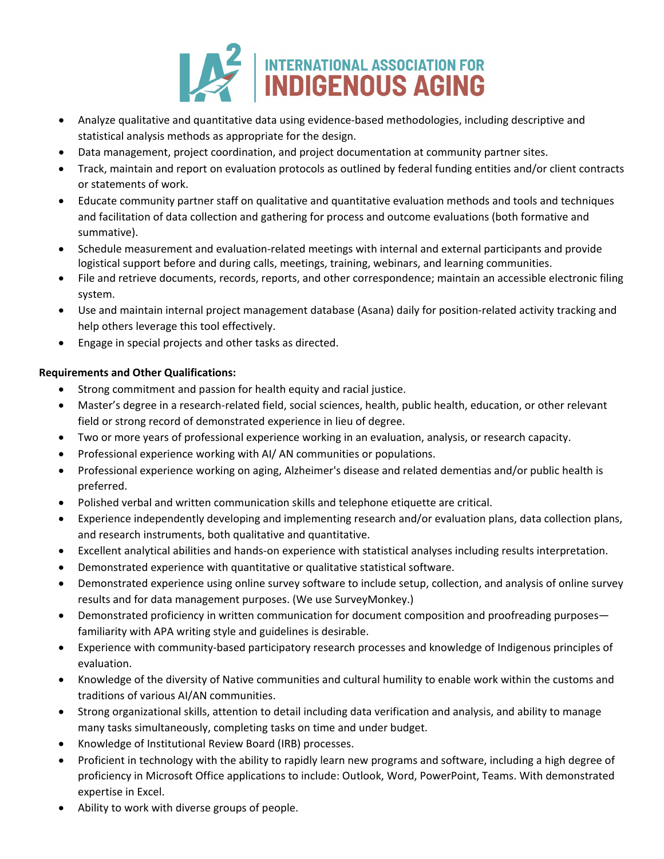

- Analyze qualitative and quantitative data using evidence-based methodologies, including descriptive and statistical analysis methods as appropriate for the design.
- Data management, project coordination, and project documentation at community partner sites.
- Track, maintain and report on evaluation protocols as outlined by federal funding entities and/or client contracts or statements of work.
- Educate community partner staff on qualitative and quantitative evaluation methods and tools and techniques and facilitation of data collection and gathering for process and outcome evaluations (both formative and summative).
- Schedule measurement and evaluation-related meetings with internal and external participants and provide logistical support before and during calls, meetings, training, webinars, and learning communities.
- File and retrieve documents, records, reports, and other correspondence; maintain an accessible electronic filing system.
- Use and maintain internal project management database (Asana) daily for position-related activity tracking and help others leverage this tool effectively.
- Engage in special projects and other tasks as directed.

## **Requirements and Other Qualifications:**

- Strong commitment and passion for health equity and racial justice.
- Master's degree in a research-related field, social sciences, health, public health, education, or other relevant field or strong record of demonstrated experience in lieu of degree.
- Two or more years of professional experience working in an evaluation, analysis, or research capacity.
- Professional experience working with AI/ AN communities or populations.
- Professional experience working on aging, Alzheimer's disease and related dementias and/or public health is preferred.
- Polished verbal and written communication skills and telephone etiquette are critical.
- Experience independently developing and implementing research and/or evaluation plans, data collection plans, and research instruments, both qualitative and quantitative.
- Excellent analytical abilities and hands-on experience with statistical analyses including results interpretation.
- Demonstrated experience with quantitative or qualitative statistical software.
- Demonstrated experience using online survey software to include setup, collection, and analysis of online survey results and for data management purposes. (We use SurveyMonkey.)
- Demonstrated proficiency in written communication for document composition and proofreading purposes familiarity with APA writing style and guidelines is desirable.
- Experience with community-based participatory research processes and knowledge of Indigenous principles of evaluation.
- Knowledge of the diversity of Native communities and cultural humility to enable work within the customs and traditions of various AI/AN communities.
- Strong organizational skills, attention to detail including data verification and analysis, and ability to manage many tasks simultaneously, completing tasks on time and under budget.
- Knowledge of Institutional Review Board (IRB) processes.
- Proficient in technology with the ability to rapidly learn new programs and software, including a high degree of proficiency in Microsoft Office applications to include: Outlook, Word, PowerPoint, Teams. With demonstrated expertise in Excel.
- Ability to work with diverse groups of people.